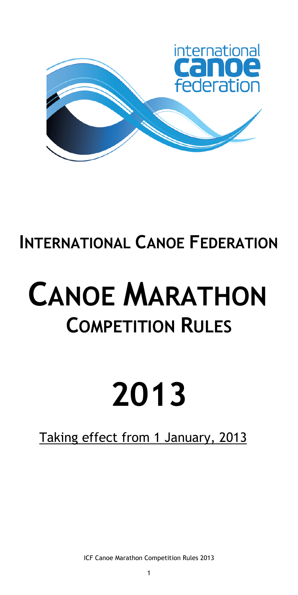

# **INTERNATIONAL CANOE FEDERATION**

# **CANOE MARATHON COMPETITION RULES**

# **2013**

# Taking effect from 1 January, 2013

ICF Canoe Marathon Competition Rules 2013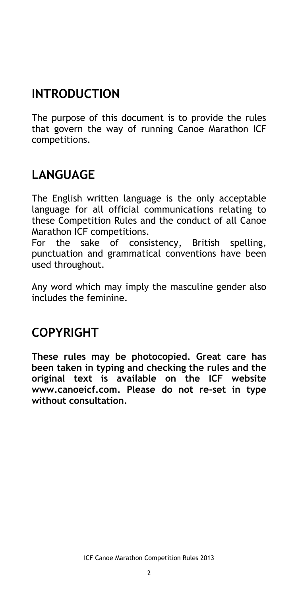# **INTRODUCTION**

The purpose of this document is to provide the rules that govern the way of running Canoe Marathon ICF competitions.

# **LANGUAGE**

The English written language is the only acceptable language for all official communications relating to these Competition Rules and the conduct of all Canoe Marathon ICF competitions.

For the sake of consistency, British spelling, punctuation and grammatical conventions have been used throughout.

Any word which may imply the masculine gender also includes the feminine.

# **COPYRIGHT**

**These rules may be photocopied. Great care has been taken in typing and checking the rules and the original text is available on the ICF website www.canoeicf.com. Please do not re-set in type without consultation.**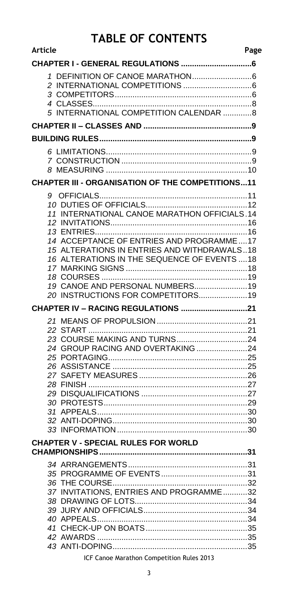# **TABLE OF CONTENTS**

| <b>Article</b><br>Page                                                                                                                                                                                                                                           |
|------------------------------------------------------------------------------------------------------------------------------------------------------------------------------------------------------------------------------------------------------------------|
|                                                                                                                                                                                                                                                                  |
| 5 INTERNATIONAL COMPETITION CALENDAR 8                                                                                                                                                                                                                           |
|                                                                                                                                                                                                                                                                  |
|                                                                                                                                                                                                                                                                  |
|                                                                                                                                                                                                                                                                  |
| <b>CHAPTER III - ORGANISATION OF THE COMPETITIONS11</b>                                                                                                                                                                                                          |
| 11 INTERNATIONAL CANOE MARATHON OFFICIALS.14<br>14 ACCEPTANCE OF ENTRIES AND PROGRAMME17<br>15 ALTERATIONS IN ENTRIES AND WITHDRAWALS18<br>16 ALTERATIONS IN THE SEQUENCE OF EVENTS  18<br>19 CANOE AND PERSONAL NUMBERS 19<br>20 INSTRUCTIONS FOR COMPETITORS19 |
|                                                                                                                                                                                                                                                                  |
|                                                                                                                                                                                                                                                                  |
| <b>CHAPTER V - SPECIAL RULES FOR WORLD</b>                                                                                                                                                                                                                       |
| 37 INVITATIONS, ENTRIES AND PROGRAMME32                                                                                                                                                                                                                          |

ICF Canoe Marathon Competition Rules 2013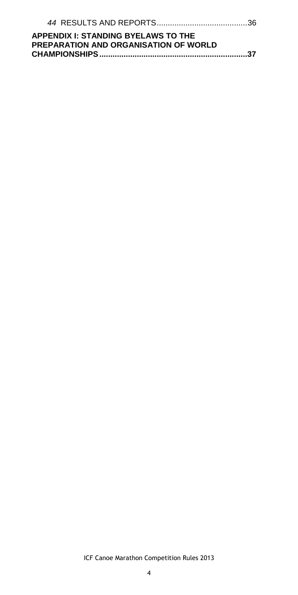| <b>APPENDIX I: STANDING BYELAWS TO THE</b>   |  |
|----------------------------------------------|--|
| <b>PREPARATION AND ORGANISATION OF WORLD</b> |  |
|                                              |  |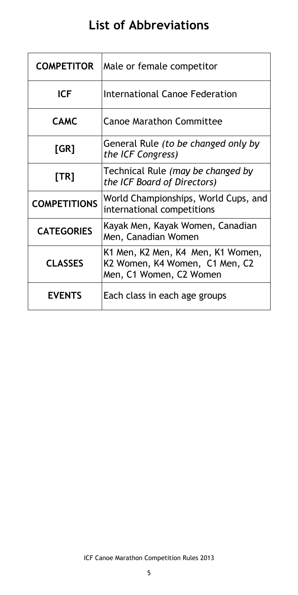# **List of Abbreviations**

| <b>COMPETITOR</b>   | Male or female competitor                                                                      |
|---------------------|------------------------------------------------------------------------------------------------|
| <b>ICF</b>          | International Canoe Federation                                                                 |
| <b>CAMC</b>         | <b>Canoe Marathon Committee</b>                                                                |
| [GR]                | General Rule (to be changed only by<br>the ICF Congress)                                       |
| [TR]                | Technical Rule (may be changed by<br>the ICF Board of Directors)                               |
| <b>COMPETITIONS</b> | World Championships, World Cups, and<br>international competitions                             |
| <b>CATEGORIES</b>   | Kayak Men, Kayak Women, Canadian<br>Men, Canadian Women                                        |
| <b>CLASSES</b>      | K1 Men, K2 Men, K4 Men, K1 Women,<br>K2 Women, K4 Women, C1 Men, C2<br>Men, C1 Women, C2 Women |
| <b>EVENTS</b>       | Each class in each age groups                                                                  |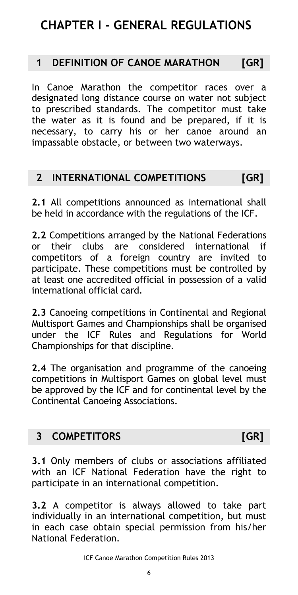# <span id="page-5-0"></span>**CHAPTER I - GENERAL REGULATIONS**

# <span id="page-5-1"></span>**1 DEFINITION OF CANOE MARATHON [GR]**

In Canoe Marathon the competitor races over a designated long distance course on water not subject to prescribed standards. The competitor must take the water as it is found and be prepared, if it is necessary, to carry his or her canoe around an impassable obstacle, or between two waterways.

# <span id="page-5-2"></span>**2 INTERNATIONAL COMPETITIONS [GR]**

**2.1** All competitions announced as international shall be held in accordance with the regulations of the ICF.

**2.2** Competitions arranged by the National Federations or their clubs are considered international if competitors of a foreign country are invited to participate. These competitions must be controlled by at least one accredited official in possession of a valid international official card.

**2.3** Canoeing competitions in Continental and Regional Multisport Games and Championships shall be organised under the ICF Rules and Regulations for World Championships for that discipline.

**2.4** The organisation and programme of the canoeing competitions in Multisport Games on global level must be approved by the ICF and for continental level by the Continental Canoeing Associations.

# <span id="page-5-3"></span>**3 COMPETITORS [GR]**

**3.1** Only members of clubs or associations affiliated with an ICF National Federation have the right to participate in an international competition.

**3.2** A competitor is always allowed to take part individually in an international competition, but must in each case obtain special permission from his/her National Federation.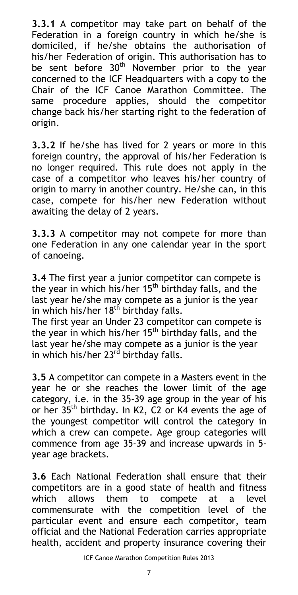**3.3.1** A competitor may take part on behalf of the Federation in a foreign country in which he/she is domiciled, if he/she obtains the authorisation of his/her Federation of origin. This authorisation has to be sent before  $30<sup>th</sup>$  November prior to the year concerned to the ICF Headquarters with a copy to the Chair of the ICF Canoe Marathon Committee. The same procedure applies, should the competitor change back his/her starting right to the federation of origin.

**3.3.2** If he/she has lived for 2 years or more in this foreign country, the approval of his/her Federation is no longer required. This rule does not apply in the case of a competitor who leaves his/her country of origin to marry in another country. He/she can, in this case, compete for his/her new Federation without awaiting the delay of 2 years.

**3.3.3** A competitor may not compete for more than one Federation in any one calendar year in the sport of canoeing.

**3.4** The first year a junior competitor can compete is the year in which his/her  $15<sup>th</sup>$  birthday falls, and the last year he/she may compete as a junior is the year in which his/her  $18<sup>th</sup>$  birthday falls.

The first year an Under 23 competitor can compete is the year in which his/her  $15<sup>th</sup>$  birthday falls, and the last year he/she may compete as a junior is the year in which his/her 23<sup>rd</sup> birthday falls.

**3.5** A competitor can compete in a Masters event in the year he or she reaches the lower limit of the age category, i.e. in the 35-39 age group in the year of his or her 35th birthday. In K2, C2 or K4 events the age of the youngest competitor will control the category in which a crew can compete. Age group categories will commence from age 35-39 and increase upwards in 5 year age brackets.

**3.6** Each National Federation shall ensure that their competitors are in a good state of health and fitness which allows them to compete at a level commensurate with the competition level of the particular event and ensure each competitor, team official and the National Federation carries appropriate health, accident and property insurance covering their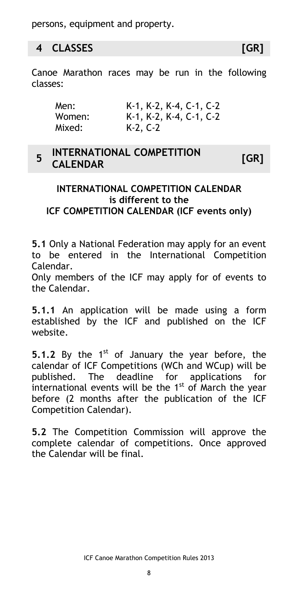persons, equipment and property.

# <span id="page-7-0"></span>**4 CLASSES [GR]**

Canoe Marathon races may be run in the following classes:

| Men:   | $K-1$ , $K-2$ , $K-4$ , $C-1$ , $C-2$ |
|--------|---------------------------------------|
| Women: | $K-1$ , $K-2$ , $K-4$ , $C-1$ , $C-2$ |
| Mixed: | $K-2, C-2$                            |

#### <span id="page-7-1"></span>**5 INTERNATIONAL COMPETITION CALENDAR [GR]**

## **INTERNATIONAL COMPETITION CALENDAR is different to the ICF COMPETITION CALENDAR (ICF events only)**

**5.1** Only a National Federation may apply for an event to be entered in the International Competition Calendar.

Only members of the ICF may apply for of events to the Calendar.

**5.1.1** An application will be made using a form established by the ICF and published on the ICF website.

**5.1.2** By the 1<sup>st</sup> of January the year before, the calendar of ICF Competitions (WCh and WCup) will be published. The deadline for applications for international events will be the  $1<sup>st</sup>$  of March the year before (2 months after the publication of the ICF Competition Calendar).

**5.2** The Competition Commission will approve the complete calendar of competitions. Once approved the Calendar will be final.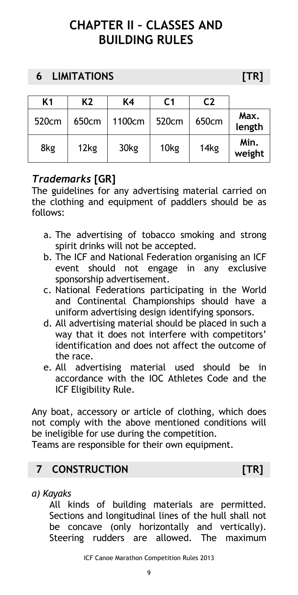# <span id="page-8-0"></span>**CHAPTER II – CLASSES AND BUILDING RULES**

# <span id="page-8-2"></span><span id="page-8-1"></span>**6 LIMITATIONS [TR]**

|                | C2    | C <sub>1</sub>   | K4               | K <sub>2</sub> | K <sub>1</sub>    |
|----------------|-------|------------------|------------------|----------------|-------------------|
| Max.<br>length | 650cm | 520cm            | 1100cm           | 650cm          | 520 <sub>cm</sub> |
| Min.<br>weight | 14kg  | 10 <sub>kg</sub> | 30 <sub>kg</sub> | 12kg           | 8kg               |

# *Trademarks* **[GR]**

The guidelines for any advertising material carried on the clothing and equipment of paddlers should be as follows:

- a. The advertising of tobacco smoking and strong spirit drinks will not be accepted.
- b. The ICF and National Federation organising an ICF event should not engage in any exclusive sponsorship advertisement.
- c. National Federations participating in the World and Continental Championships should have a uniform advertising design identifying sponsors.
- d. All advertising material should be placed in such a way that it does not interfere with competitors' identification and does not affect the outcome of the race.
- e. All advertising material used should be in accordance with the IOC Athletes Code and the ICF Eligibility Rule.

Any boat, accessory or article of clothing, which does not comply with the above mentioned conditions will be ineligible for use during the competition.

Teams are responsible for their own equipment.

# <span id="page-8-3"></span>**7 CONSTRUCTION [TR]**

*a) Kayaks*

All kinds of building materials are permitted. Sections and longitudinal lines of the hull shall not be concave (only horizontally and vertically). Steering rudders are allowed. The maximum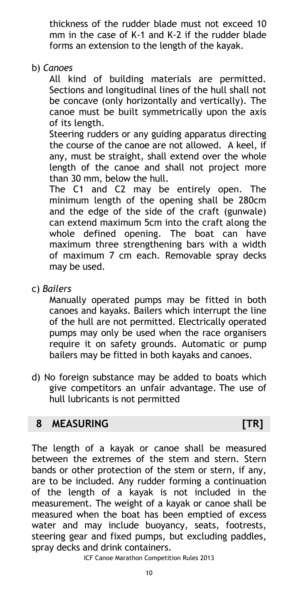thickness of the rudder blade must not exceed 10 mm in the case of K-1 and K-2 if the rudder blade forms an extension to the length of the kayak.

b) *Canoes*

All kind of building materials are permitted. Sections and longitudinal lines of the hull shall not be concave (only horizontally and vertically). The canoe must be built symmetrically upon the axis of its length.

Steering rudders or any guiding apparatus directing the course of the canoe are not allowed. A keel, if any, must be straight, shall extend over the whole length of the canoe and shall not project more than 30 mm, below the hull.

The C1 and C2 may be entirely open. The minimum length of the opening shall be 280cm and the edge of the side of the craft (gunwale) can extend maximum 5cm into the craft along the whole defined opening. The boat can have maximum three strengthening bars with a width of maximum 7 cm each. Removable spray decks may be used.

c) *Bailers*

Manually operated pumps may be fitted in both canoes and kayaks. Bailers which interrupt the line of the hull are not permitted. Electrically operated pumps may only be used when the race organisers require it on safety grounds. Automatic or pump bailers may be fitted in both kayaks and canoes.

d) No foreign substance may be added to boats which give competitors an unfair advantage. The use of hull lubricants is not permitted

# <span id="page-9-0"></span>**8 MEASURING [TR]**

The length of a kayak or canoe shall be measured between the extremes of the stem and stern. Stern bands or other protection of the stem or stern, if any, are to be included. Any rudder forming a continuation of the length of a kayak is not included in the measurement. The weight of a kayak or canoe shall be measured when the boat has been emptied of excess water and may include buoyancy, seats, footrests, steering gear and fixed pumps, but excluding paddles, spray decks and drink containers.

ICF Canoe Marathon Competition Rules 2013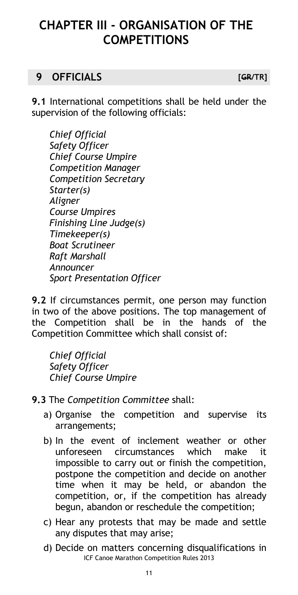# <span id="page-10-0"></span>**CHAPTER III - ORGANISATION OF THE COMPETITIONS**

# <span id="page-10-1"></span>**9 OFFICIALS [GR/TR]**

**9.1** International competitions shall be held under the supervision of the following officials:

*Chief Official Safety Officer Chief Course Umpire Competition Manager Competition Secretary Starter(s) Aligner Course Umpires Finishing Line Judge(s) Timekeeper(s) Boat Scrutineer Raft Marshall Announcer Sport Presentation Officer*

**9.2** If circumstances permit, one person may function in two of the above positions. The top management of the Competition shall be in the hands of the Competition Committee which shall consist of:

*Chief Official Safety Officer Chief Course Umpire*

- **9.3** The *Competition Committee* shall:
	- a) Organise the competition and supervise its arrangements;
	- b) In the event of inclement weather or other unforeseen circumstances which make it impossible to carry out or finish the competition, postpone the competition and decide on another time when it may be held, or abandon the competition, or, if the competition has already begun, abandon or reschedule the competition;
	- c) Hear any protests that may be made and settle any disputes that may arise;
	- ICF Canoe Marathon Competition Rules 2013 d) Decide on matters concerning disqualifications in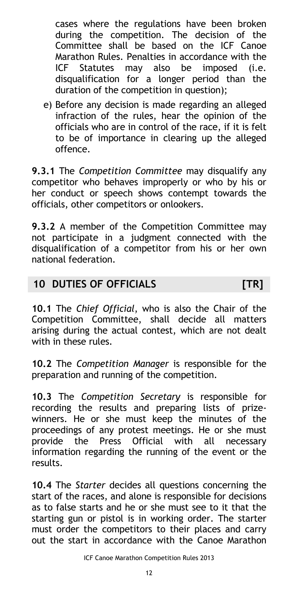cases where the regulations have been broken during the competition. The decision of the Committee shall be based on the ICF Canoe Marathon Rules. Penalties in accordance with the ICF Statutes may also be imposed (i.e. disqualification for a longer period than the duration of the competition in question);

e) Before any decision is made regarding an alleged infraction of the rules, hear the opinion of the officials who are in control of the race, if it is felt to be of importance in clearing up the alleged offence.

**9.3.1** The *Competition Committee* may disqualify any competitor who behaves improperly or who by his or her conduct or speech shows contempt towards the officials, other competitors or onlookers.

**9.3.2** A member of the Competition Committee may not participate in a judgment connected with the disqualification of a competitor from his or her own national federation.

# <span id="page-11-0"></span>**10 DUTIES OF OFFICIALS [TR]**

**10.1** The *Chief Official*, who is also the Chair of the Competition Committee, shall decide all matters arising during the actual contest, which are not dealt with in these rules.

**10.2** The *Competition Manager* is responsible for the preparation and running of the competition.

**10.3** The *Competition Secretary* is responsible for recording the results and preparing lists of prizewinners. He or she must keep the minutes of the proceedings of any protest meetings. He or she must provide the Press Official with all necessary information regarding the running of the event or the results.

**10.4** The *Starter* decides all questions concerning the start of the races, and alone is responsible for decisions as to false starts and he or she must see to it that the starting gun or pistol is in working order. The starter must order the competitors to their places and carry out the start in accordance with the Canoe Marathon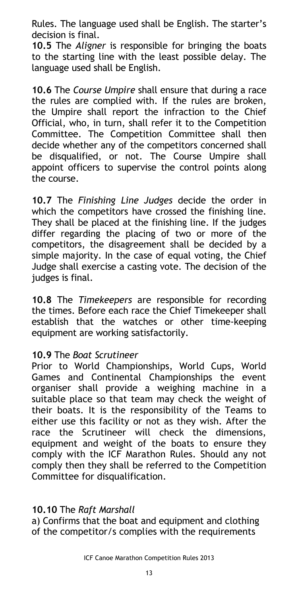Rules. The language used shall be English. The starter's decision is final.

**10.5** The *Aligner* is responsible for bringing the boats to the starting line with the least possible delay. The language used shall be English.

**10.6** The *Course Umpire* shall ensure that during a race the rules are complied with. If the rules are broken, the Umpire shall report the infraction to the Chief Official, who, in turn, shall refer it to the Competition Committee. The Competition Committee shall then decide whether any of the competitors concerned shall be disqualified, or not. The Course Umpire shall appoint officers to supervise the control points along the course.

**10.7** The *Finishing Line Judges* decide the order in which the competitors have crossed the finishing line. They shall be placed at the finishing line. If the judges differ regarding the placing of two or more of the competitors, the disagreement shall be decided by a simple majority. In the case of equal voting, the Chief Judge shall exercise a casting vote. The decision of the judges is final.

**10.8** The *Timekeepers* are responsible for recording the times. Before each race the Chief Timekeeper shall establish that the watches or other time-keeping equipment are working satisfactorily.

### **10.9** The *Boat Scrutineer*

Prior to World Championships, World Cups, World Games and Continental Championships the event organiser shall provide a weighing machine in a suitable place so that team may check the weight of their boats. It is the responsibility of the Teams to either use this facility or not as they wish. After the race the Scrutineer will check the dimensions, equipment and weight of the boats to ensure they comply with the ICF Marathon Rules. Should any not comply then they shall be referred to the Competition Committee for disqualification.

### **10.10** The *Raft Marshall*

a) Confirms that the boat and equipment and clothing of the competitor/s complies with the requirements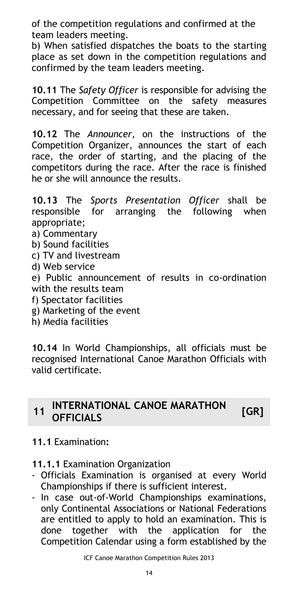of the competition regulations and confirmed at the team leaders meeting.

b) When satisfied dispatches the boats to the starting place as set down in the competition regulations and confirmed by the team leaders meeting.

**10.11** The *Safety Officer* is responsible for advising the Competition Committee on the safety measures necessary, and for seeing that these are taken.

**10.12** The *Announcer*, on the instructions of the Competition Organizer, announces the start of each race, the order of starting, and the placing of the competitors during the race. After the race is finished he or she will announce the results.

**10.13** The *Sports Presentation Officer* shall be responsible for arranging the following when appropriate;

- a) Commentary
- b) Sound facilities
- c) TV and livestream
- d) Web service

e) Public announcement of results in co-ordination with the results team

- f) Spectator facilities
- g) Marketing of the event
- h) Media facilities

**10.14** In World Championships, all officials must be recognised International Canoe Marathon Officials with valid certificate.

# <span id="page-13-0"></span>**<sup>11</sup> INTERNATIONAL CANOE MARATHON OFFICIALS** CANOL MANATHON [GR]

### **11.1** Examination**:**

**11.1.1** Examination Organization

- Officials Examination is organised at every World Championships if there is sufficient interest.
- In case out-of-World Championships examinations, only Continental Associations or National Federations are entitled to apply to hold an examination. This is done together with the application for the Competition Calendar using a form established by the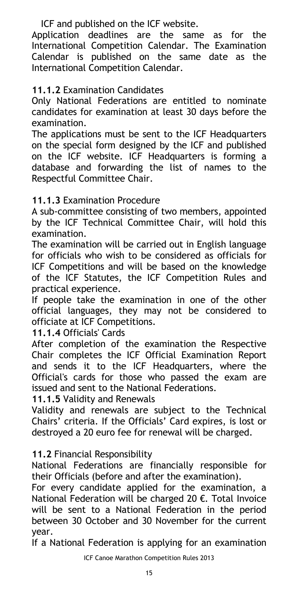ICF and published on the ICF website.

Application deadlines are the same as for the International Competition Calendar. The Examination Calendar is published on the same date as the International Competition Calendar.

**11.1.2** Examination Candidates

Only National Federations are entitled to nominate candidates for examination at least 30 days before the examination.

The applications must be sent to the ICF Headquarters on the special form designed by the ICF and published on the ICF website. ICF Headquarters is forming a database and forwarding the list of names to the Respectful Committee Chair.

**11.1.3** Examination Procedure

A sub-committee consisting of two members, appointed by the ICF Technical Committee Chair, will hold this examination.

The examination will be carried out in English language for officials who wish to be considered as officials for ICF Competitions and will be based on the knowledge of the ICF Statutes, the ICF Competition Rules and practical experience.

If people take the examination in one of the other official languages, they may not be considered to officiate at ICF Competitions.

**11.1.4** Officials' Cards

After completion of the examination the Respective Chair completes the ICF Official Examination Report and sends it to the ICF Headquarters, where the Official's cards for those who passed the exam are issued and sent to the National Federations.

**11.1.5** Validity and Renewals

Validity and renewals are subject to the Technical Chairs' criteria. If the Officials' Card expires, is lost or destroyed a 20 euro fee for renewal will be charged.

**11.2** Financial Responsibility

National Federations are financially responsible for their Officials (before and after the examination).

For every candidate applied for the examination, a National Federation will be charged 20 €. Total Invoice will be sent to a National Federation in the period between 30 October and 30 November for the current year.

If a National Federation is applying for an examination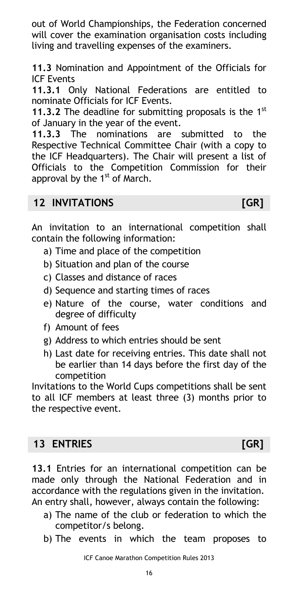out of World Championships, the Federation concerned will cover the examination organisation costs including living and travelling expenses of the examiners.

**11.3** Nomination and Appointment of the Officials for ICF Events

**11.3.1** Only National Federations are entitled to nominate Officials for ICF Events.

**11.3.2** The deadline for submitting proposals is the 1<sup>st</sup> of January in the year of the event.

**11.3.3** The nominations are submitted to the Respective Technical Committee Chair (with a copy to the ICF Headquarters). The Chair will present a list of Officials to the Competition Commission for their approval by the  $1<sup>st</sup>$  of March.

# <span id="page-15-0"></span>**12 INVITATIONS [GR]**

An invitation to an international competition shall contain the following information:

- a) Time and place of the competition
- b) Situation and plan of the course
- c) Classes and distance of races
- d) Sequence and starting times of races
- e) Nature of the course, water conditions and degree of difficulty
- f) Amount of fees
- g) Address to which entries should be sent
- h) Last date for receiving entries. This date shall not be earlier than 14 days before the first day of the competition

Invitations to the World Cups competitions shall be sent to all ICF members at least three (3) months prior to the respective event.

# <span id="page-15-1"></span>**13 ENTRIES [GR]**

**13.1** Entries for an international competition can be made only through the National Federation and in accordance with the regulations given in the invitation. An entry shall, however, always contain the following:

- a) The name of the club or federation to which the competitor/s belong.
- b) The events in which the team proposes to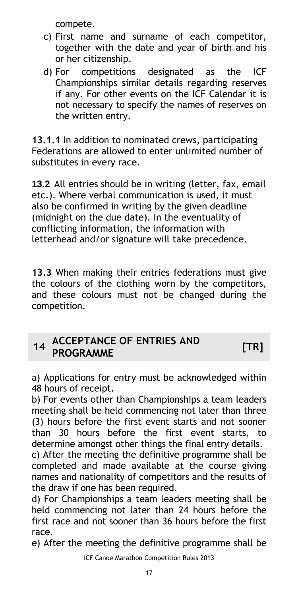compete.

- c) First name and surname of each competitor, together with the date and year of birth and his or her citizenship.
- d) For competitions designated as the ICF Championships similar details regarding reserves if any. For other events on the ICF Calendar it is not necessary to specify the names of reserves on the written entry.

**13.1.1** In addition to nominated crews, participating Federations are allowed to enter unlimited number of substitutes in every race.

**13.2** All entries should be in writing (letter, fax, email etc.). Where verbal communication is used, it must also be confirmed in writing by the given deadline (midnight on the due date). In the eventuality of conflicting information, the information with letterhead and/or signature will take precedence.

**13.3** When making their entries federations must give the colours of the clothing worn by the competitors, and these colours must not be changed during the competition.

# <span id="page-16-0"></span>**<sup>14</sup> ACCEPTANCE OF ENTRIES AND PROGRAMME [TR]**

a) Applications for entry must be acknowledged within 48 hours of receipt.

b) For events other than Championships a team leaders meeting shall be held commencing not later than three (3) hours before the first event starts and not sooner than 30 hours before the first event starts, to determine amongst other things the final entry details.

c) After the meeting the definitive programme shall be completed and made available at the course giving names and nationality of competitors and the results of the draw if one has been required.

d) For Championships a team leaders meeting shall be held commencing not later than 24 hours before the first race and not sooner than 36 hours before the first race.

e) After the meeting the definitive programme shall be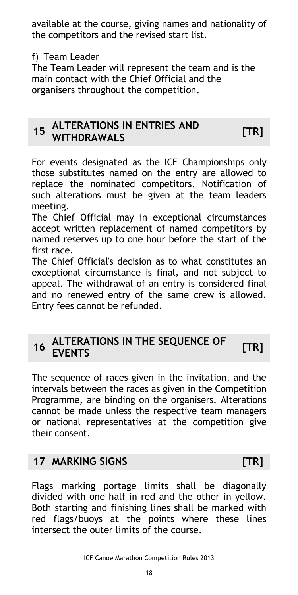available at the course, giving names and nationality of the competitors and the revised start list.

# f) Team Leader

The Team Leader will represent the team and is the main contact with the Chief Official and the organisers throughout the competition.

# <span id="page-17-0"></span>**<sup>15</sup> ALTERATIONS IN ENTRIES AND WITHDRAWALS [TR]**

For events designated as the ICF Championships only those substitutes named on the entry are allowed to replace the nominated competitors. Notification of such alterations must be given at the team leaders meeting.

The Chief Official may in exceptional circumstances accept written replacement of named competitors by named reserves up to one hour before the start of the first race.

The Chief Official's decision as to what constitutes an exceptional circumstance is final, and not subject to appeal. The withdrawal of an entry is considered final and no renewed entry of the same crew is allowed. Entry fees cannot be refunded.

# <span id="page-17-1"></span>**<sup>16</sup> ALTERATIONS IN THE SEQUENCE OF EVENTS [TR]**

The sequence of races given in the invitation, and the intervals between the races as given in the Competition Programme, are binding on the organisers. Alterations cannot be made unless the respective team managers or national representatives at the competition give their consent.

# <span id="page-17-2"></span>**17 MARKING SIGNS [TR]**

Flags marking portage limits shall be diagonally divided with one half in red and the other in yellow. Both starting and finishing lines shall be marked with red flags/buoys at the points where these lines intersect the outer limits of the course.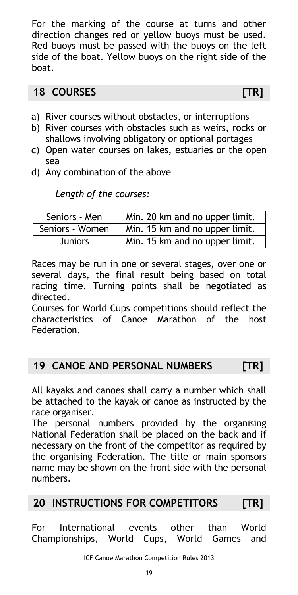For the marking of the course at turns and other direction changes red or yellow buoys must be used. Red buoys must be passed with the buoys on the left side of the boat. Yellow buoys on the right side of the boat.

# <span id="page-18-0"></span>**18 COURSES [TR]**

- a) River courses without obstacles, or interruptions
- b) River courses with obstacles such as weirs, rocks or shallows involving obligatory or optional portages
- c) Open water courses on lakes, estuaries or the open sea
- d) Any combination of the above

*Length of the courses:*

| Seniors - Men   | Min. 20 km and no upper limit. |
|-----------------|--------------------------------|
| Seniors - Women | Min. 15 km and no upper limit. |
| <b>Juniors</b>  | Min. 15 km and no upper limit. |

Races may be run in one or several stages, over one or several days, the final result being based on total racing time. Turning points shall be negotiated as directed.

Courses for World Cups competitions should reflect the characteristics of Canoe Marathon of the host Federation.

# <span id="page-18-1"></span>**19 CANOE AND PERSONAL NUMBERS [TR]**

All kayaks and canoes shall carry a number which shall be attached to the kayak or canoe as instructed by the race organiser.

The personal numbers provided by the organising National Federation shall be placed on the back and if necessary on the front of the competitor as required by the organising Federation. The title or main sponsors name may be shown on the front side with the personal numbers.

# <span id="page-18-2"></span>**20 INSTRUCTIONS FOR COMPETITORS [TR]**

For International events other than World Championships, World Cups, World Games and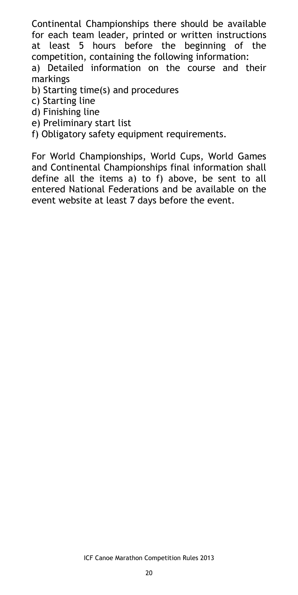Continental Championships there should be available for each team leader, printed or written instructions at least 5 hours before the beginning of the competition, containing the following information:

a) Detailed information on the course and their markings

b) Starting time(s) and procedures

- c) Starting line
- d) Finishing line
- e) Preliminary start list

f) Obligatory safety equipment requirements.

For World Championships, World Cups, World Games and Continental Championships final information shall define all the items a) to f) above, be sent to all entered National Federations and be available on the event website at least 7 days before the event.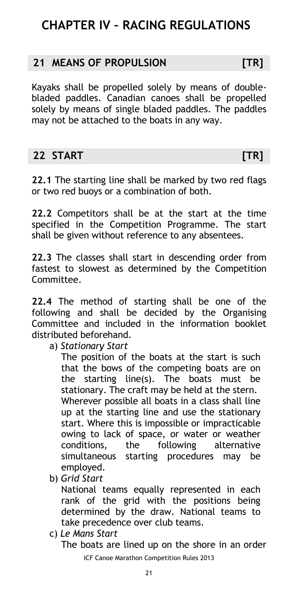# <span id="page-20-0"></span>**CHAPTER IV – RACING REGULATIONS**

## <span id="page-20-1"></span>**21 MEANS OF PROPULSION [TR]**

Kayaks shall be propelled solely by means of doublebladed paddles. Canadian canoes shall be propelled solely by means of single bladed paddles. The paddles may not be attached to the boats in any way.

# <span id="page-20-2"></span>**22 START [TR]**

**22.1** The starting line shall be marked by two red flags or two red buoys or a combination of both.

**22.2** Competitors shall be at the start at the time specified in the Competition Programme. The start shall be given without reference to any absentees.

**22.3** The classes shall start in descending order from fastest to slowest as determined by the Competition Committee.

**22.4** The method of starting shall be one of the following and shall be decided by the Organising Committee and included in the information booklet distributed beforehand.

a) *Stationary Start*

The position of the boats at the start is such that the bows of the competing boats are on the starting line(s). The boats must be stationary. The craft may be held at the stern. Wherever possible all boats in a class shall line up at the starting line and use the stationary start. Where this is impossible or impracticable owing to lack of space, or water or weather conditions, the following alternative simultaneous starting procedures may be employed.

b) *Grid Start*

National teams equally represented in each rank of the grid with the positions being determined by the draw. National teams to take precedence over club teams.

- c) *Le Mans Start*
	- ICF Canoe Marathon Competition Rules 2013 The boats are lined up on the shore in an order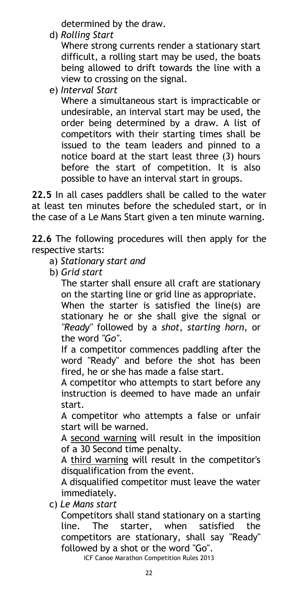determined by the draw.

d) *Rolling Start*

Where strong currents render a stationary start difficult, a rolling start may be used, the boats being allowed to drift towards the line with a view to crossing on the signal.

e) *Interval Start*

Where a simultaneous start is impracticable or undesirable, an interval start may be used, the order being determined by a draw. A list of competitors with their starting times shall be issued to the team leaders and pinned to a notice board at the start least three (3) hours before the start of competition. It is also possible to have an interval start in groups.

**22.5** In all cases paddlers shall be called to the water at least ten minutes before the scheduled start, or in the case of a Le Mans Start given a ten minute warning.

**22.6** The following procedures will then apply for the respective starts:

- a) *Stationary start and*
- b) *Grid start*

The starter shall ensure all craft are stationary on the starting line or grid line as appropriate.

When the starter is satisfied the line(s) are stationary he or she shall give the signal or *"Ready"* followed by a *shot*, *starting horn*, or the word *"Go"*.

If a competitor commences paddling after the word "Ready" and before the shot has been fired, he or she has made a false start.

A competitor who attempts to start before any instruction is deemed to have made an unfair start.

A competitor who attempts a false or unfair start will be warned.

A second warning will result in the imposition of a 30 Second time penalty.

A third warning will result in the competitor's disqualification from the event.

A disqualified competitor must leave the water immediately.

c) *Le Mans start*

Competitors shall stand stationary on a starting line. The starter, when satisfied the competitors are stationary, shall say "Ready" followed by a shot or the word "Go".

ICF Canoe Marathon Competition Rules 2013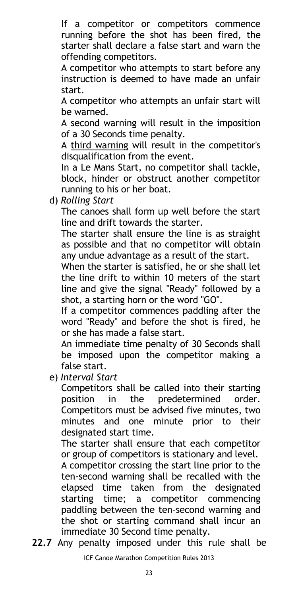If a competitor or competitors commence running before the shot has been fired, the starter shall declare a false start and warn the offending competitors.

A competitor who attempts to start before any instruction is deemed to have made an unfair start.

A competitor who attempts an unfair start will be warned.

A second warning will result in the imposition of a 30 Seconds time penalty.

A third warning will result in the competitor's disqualification from the event.

In a Le Mans Start, no competitor shall tackle, block, hinder or obstruct another competitor running to his or her boat.

d) *Rolling Start*

The canoes shall form up well before the start line and drift towards the starter.

The starter shall ensure the line is as straight as possible and that no competitor will obtain any undue advantage as a result of the start.

When the starter is satisfied, he or she shall let the line drift to within 10 meters of the start line and give the signal "Ready" followed by a shot, a starting horn or the word "GO".

If a competitor commences paddling after the word "Ready" and before the shot is fired, he or she has made a false start.

An immediate time penalty of 30 Seconds shall be imposed upon the competitor making a false start.

e) *Interval Start*

Competitors shall be called into their starting position in the predetermined order. Competitors must be advised five minutes, two minutes and one minute prior to their designated start time.

The starter shall ensure that each competitor or group of competitors is stationary and level.

A competitor crossing the start line prior to the ten-second warning shall be recalled with the elapsed time taken from the designated starting time; a competitor commencing paddling between the ten-second warning and the shot or starting command shall incur an immediate 30 Second time penalty.

**22.7** Any penalty imposed under this rule shall be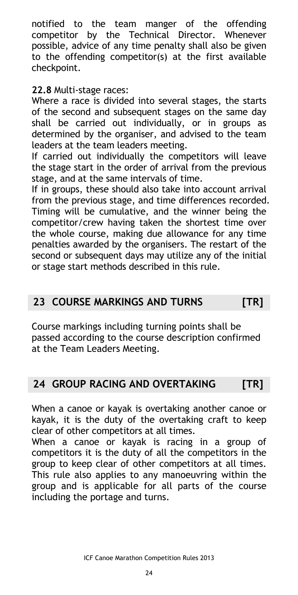notified to the team manger of the offending competitor by the Technical Director. Whenever possible, advice of any time penalty shall also be given to the offending competitor(s) at the first available checkpoint.

### **22.8** Multi-stage races:

Where a race is divided into several stages, the starts of the second and subsequent stages on the same day shall be carried out individually, or in groups as determined by the organiser, and advised to the team leaders at the team leaders meeting.

If carried out individually the competitors will leave the stage start in the order of arrival from the previous stage, and at the same intervals of time.

If in groups, these should also take into account arrival from the previous stage, and time differences recorded. Timing will be cumulative, and the winner being the competitor/crew having taken the shortest time over the whole course, making due allowance for any time penalties awarded by the organisers. The restart of the second or subsequent days may utilize any of the initial or stage start methods described in this rule.

# <span id="page-23-0"></span>**23 COURSE MARKINGS AND TURNS [TR]**

Course markings including turning points shall be passed according to the course description confirmed at the Team Leaders Meeting.

# <span id="page-23-1"></span>**24 GROUP RACING AND OVERTAKING [TR]**

When a canoe or kayak is overtaking another canoe or kayak, it is the duty of the overtaking craft to keep clear of other competitors at all times.

When a canoe or kayak is racing in a group of competitors it is the duty of all the competitors in the group to keep clear of other competitors at all times. This rule also applies to any manoeuvring within the group and is applicable for all parts of the course including the portage and turns.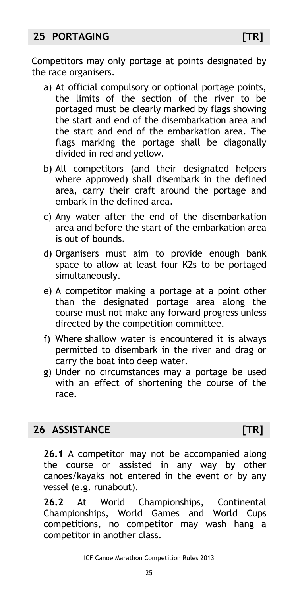# <span id="page-24-0"></span>**25 PORTAGING [TR]**

Competitors may only portage at points designated by the race organisers.

- a) At official compulsory or optional portage points, the limits of the section of the river to be portaged must be clearly marked by flags showing the start and end of the disembarkation area and the start and end of the embarkation area. The flags marking the portage shall be diagonally divided in red and yellow.
- b) All competitors (and their designated helpers where approved) shall disembark in the defined area, carry their craft around the portage and embark in the defined area.
- c) Any water after the end of the disembarkation area and before the start of the embarkation area is out of bounds.
- d) Organisers must aim to provide enough bank space to allow at least four K2s to be portaged simultaneously.
- e) A competitor making a portage at a point other than the designated portage area along the course must not make any forward progress unless directed by the competition committee.
- f) Where shallow water is encountered it is always permitted to disembark in the river and drag or carry the boat into deep water.
- g) Under no circumstances may a portage be used with an effect of shortening the course of the race.

# <span id="page-24-1"></span>**26 ASSISTANCE [TR]**

**26.1** A competitor may not be accompanied along the course or assisted in any way by other canoes/kayaks not entered in the event or by any vessel (e.g. runabout).

**26.2** At World Championships, Continental Championships, World Games and World Cups competitions, no competitor may wash hang a competitor in another class.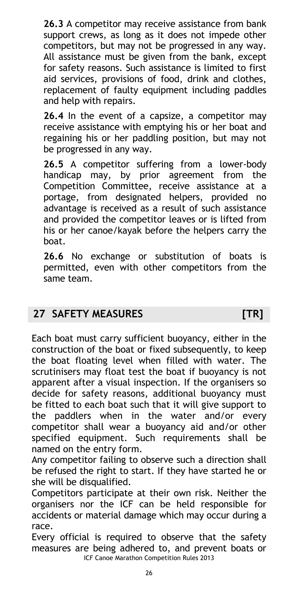**26.3** A competitor may receive assistance from bank support crews, as long as it does not impede other competitors, but may not be progressed in any way. All assistance must be given from the bank, except for safety reasons. Such assistance is limited to first aid services, provisions of food, drink and clothes, replacement of faulty equipment including paddles and help with repairs.

**26.4** In the event of a capsize, a competitor may receive assistance with emptying his or her boat and regaining his or her paddling position, but may not be progressed in any way.

**26.5** A competitor suffering from a lower-body handicap may, by prior agreement from the Competition Committee, receive assistance at a portage, from designated helpers, provided no advantage is received as a result of such assistance and provided the competitor leaves or is lifted from his or her canoe/kayak before the helpers carry the boat.

**26.6** No exchange or substitution of boats is permitted, even with other competitors from the same team.

# <span id="page-25-0"></span>**27 SAFETY MEASURES [TR]**

Each boat must carry sufficient buoyancy, either in the construction of the boat or fixed subsequently, to keep the boat floating level when filled with water. The scrutinisers may float test the boat if buoyancy is not apparent after a visual inspection. If the organisers so decide for safety reasons, additional buoyancy must be fitted to each boat such that it will give support to the paddlers when in the water and/or every competitor shall wear a buoyancy aid and/or other specified equipment. Such requirements shall be named on the entry form.

Any competitor failing to observe such a direction shall be refused the right to start. If they have started he or she will be disqualified.

Competitors participate at their own risk. Neither the organisers nor the ICF can be held responsible for accidents or material damage which may occur during a race.

ICF Canoe Marathon Competition Rules 2013 Every official is required to observe that the safety measures are being adhered to, and prevent boats or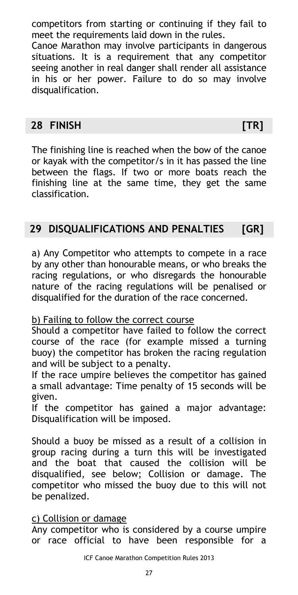competitors from starting or continuing if they fail to meet the requirements laid down in the rules.

Canoe Marathon may involve participants in dangerous situations. It is a requirement that any competitor seeing another in real danger shall render all assistance in his or her power. Failure to do so may involve disqualification.

# <span id="page-26-0"></span>**28 FINISH [TR]**

The finishing line is reached when the bow of the canoe or kayak with the competitor/s in it has passed the line between the flags. If two or more boats reach the finishing line at the same time, they get the same classification.

# <span id="page-26-1"></span>**29 DISQUALIFICATIONS AND PENALTIES [GR]**

a) Any Competitor who attempts to compete in a race by any other than honourable means, or who breaks the racing regulations, or who disregards the honourable nature of the racing regulations will be penalised or disqualified for the duration of the race concerned.

# b) Failing to follow the correct course

Should a competitor have failed to follow the correct course of the race (for example missed a turning buoy) the competitor has broken the racing regulation and will be subject to a penalty.

If the race umpire believes the competitor has gained a small advantage: Time penalty of 15 seconds will be given.

If the competitor has gained a major advantage: Disqualification will be imposed.

Should a buoy be missed as a result of a collision in group racing during a turn this will be investigated and the boat that caused the collision will be disqualified, see below; Collision or damage. The competitor who missed the buoy due to this will not be penalized.

### c) Collision or damage

Any competitor who is considered by a course umpire or race official to have been responsible for a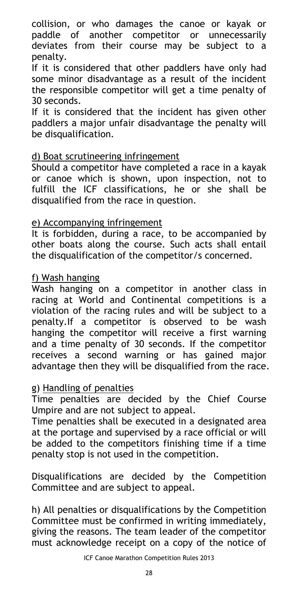collision, or who damages the canoe or kayak or paddle of another competitor or unnecessarily deviates from their course may be subject to a penalty.

If it is considered that other paddlers have only had some minor disadvantage as a result of the incident the responsible competitor will get a time penalty of 30 seconds.

If it is considered that the incident has given other paddlers a major unfair disadvantage the penalty will be disqualification.

## d) Boat scrutineering infringement

Should a competitor have completed a race in a kayak or canoe which is shown, upon inspection, not to fulfill the ICF classifications, he or she shall be disqualified from the race in question.

## e) Accompanying infringement

It is forbidden, during a race, to be accompanied by other boats along the course. Such acts shall entail the disqualification of the competitor/s concerned.

## f) Wash hanging

Wash hanging on a competitor in another class in racing at World and Continental competitions is a violation of the racing rules and will be subject to a penalty.If a competitor is observed to be wash hanging the competitor will receive a first warning and a time penalty of 30 seconds. If the competitor receives a second warning or has gained major advantage then they will be disqualified from the race.

### g) Handling of penalties

Time penalties are decided by the Chief Course Umpire and are not subject to appeal.

Time penalties shall be executed in a designated area at the portage and supervised by a race official or will be added to the competitors finishing time if a time penalty stop is not used in the competition.

Disqualifications are decided by the Competition Committee and are subject to appeal.

h) All penalties or disqualifications by the Competition Committee must be confirmed in writing immediately, giving the reasons. The team leader of the competitor must acknowledge receipt on a copy of the notice of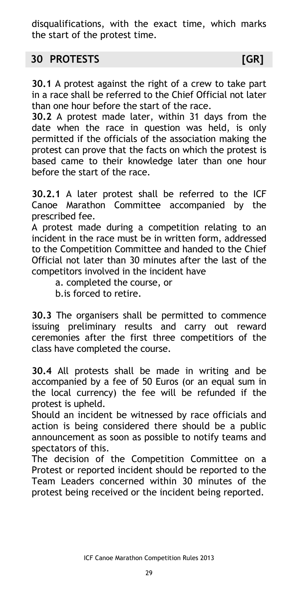disqualifications, with the exact time, which marks the start of the protest time.

# <span id="page-28-0"></span>**30 PROTESTS [GR]**

**30.1** A protest against the right of a crew to take part in a race shall be referred to the Chief Official not later than one hour before the start of the race.

**30.2** A protest made later, within 31 days from the date when the race in question was held, is only permitted if the officials of the association making the protest can prove that the facts on which the protest is based came to their knowledge later than one hour before the start of the race.

**30.2.1** A later protest shall be referred to the ICF Canoe Marathon Committee accompanied by the prescribed fee.

A protest made during a competition relating to an incident in the race must be in written form, addressed to the Competition Committee and handed to the Chief Official not later than 30 minutes after the last of the competitors involved in the incident have

a. completed the course, or

b.is forced to retire.

**30.3** The organisers shall be permitted to commence issuing preliminary results and carry out reward ceremonies after the first three competitiors of the class have completed the course.

**30.4** All protests shall be made in writing and be accompanied by a fee of 50 Euros (or an equal sum in the local currency) the fee will be refunded if the protest is upheld.

Should an incident be witnessed by race officials and action is being considered there should be a public announcement as soon as possible to notify teams and spectators of this.

The decision of the Competition Committee on a Protest or reported incident should be reported to the Team Leaders concerned within 30 minutes of the protest being received or the incident being reported.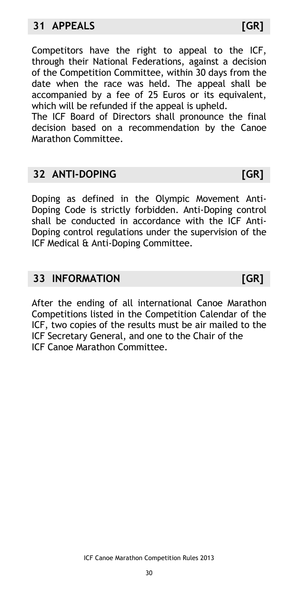<span id="page-29-0"></span>Competitors have the right to appeal to the ICF, through their National Federations, against a decision of the Competition Committee, within 30 days from the date when the race was held. The appeal shall be accompanied by a fee of 25 Euros or its equivalent, which will be refunded if the appeal is upheld.

The ICF Board of Directors shall pronounce the final decision based on a recommendation by the Canoe Marathon Committee.

# <span id="page-29-1"></span>**32 ANTI-DOPING [GR]**

Doping as defined in the Olympic Movement Anti-Doping Code is strictly forbidden. Anti-Doping control shall be conducted in accordance with the ICF Anti-Doping control regulations under the supervision of the ICF Medical & Anti-Doping Committee.

# <span id="page-29-2"></span>**33 INFORMATION [GR]**

After the ending of all international Canoe Marathon Competitions listed in the Competition Calendar of the ICF, two copies of the results must be air mailed to the ICF Secretary General, and one to the Chair of the ICF Canoe Marathon Committee.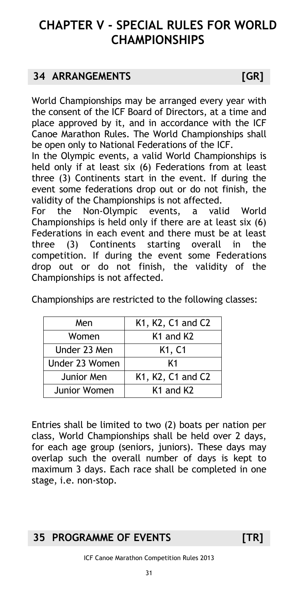# <span id="page-30-0"></span>**CHAPTER V - SPECIAL RULES FOR WORLD CHAMPIONSHIPS**

# <span id="page-30-1"></span>**34 ARRANGEMENTS [GR]**

World Championships may be arranged every year with the consent of the ICF Board of Directors, at a time and place approved by it, and in accordance with the ICF Canoe Marathon Rules. The World Championships shall be open only to National Federations of the ICF.

In the Olympic events, a valid World Championships is held only if at least six (6) Federations from at least three (3) Continents start in the event. If during the event some federations drop out or do not finish, the validity of the Championships is not affected.

For the Non-Olympic events, a valid World Championships is held only if there are at least six (6) Federations in each event and there must be at least three (3) Continents starting overall in the competition. If during the event some Federations drop out or do not finish, the validity of the Championships is not affected.

Championships are restricted to the following classes:

| Men            | K1, K2, C1 and C2                 |
|----------------|-----------------------------------|
| Women          | K <sub>1</sub> and K <sub>2</sub> |
| Under 23 Men   | K <sub>1</sub> , C <sub>1</sub>   |
| Under 23 Women | K1                                |
| Junior Men     | K1, K2, C1 and C2                 |
| Junior Women   | K <sub>1</sub> and K <sub>2</sub> |

Entries shall be limited to two (2) boats per nation per class, World Championships shall be held over 2 days, for each age group (seniors, juniors). These days may overlap such the overall number of days is kept to maximum 3 days. Each race shall be completed in one stage, i.e. non-stop.

# <span id="page-30-2"></span>**35 PROGRAMME OF EVENTS [TR]**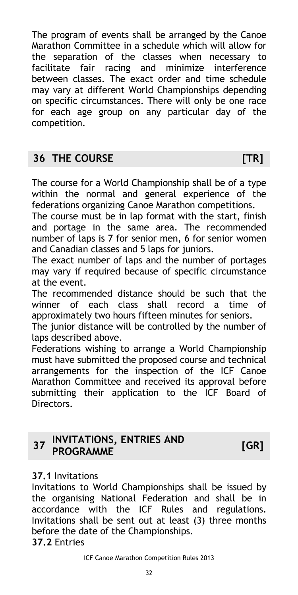The program of events shall be arranged by the Canoe Marathon Committee in a schedule which will allow for the separation of the classes when necessary to facilitate fair racing and minimize interference between classes. The exact order and time schedule may vary at different World Championships depending on specific circumstances. There will only be one race for each age group on any particular day of the competition.

# <span id="page-31-0"></span>**36 THE COURSE [TR]**

The course for a World Championship shall be of a type within the normal and general experience of the federations organizing Canoe Marathon competitions.

The course must be in lap format with the start, finish and portage in the same area. The recommended number of laps is 7 for senior men, 6 for senior women and Canadian classes and 5 laps for juniors.

The exact number of laps and the number of portages may vary if required because of specific circumstance at the event.

The recommended distance should be such that the winner of each class shall record a time of approximately two hours fifteen minutes for seniors.

The junior distance will be controlled by the number of laps described above.

Federations wishing to arrange a World Championship must have submitted the proposed course and technical arrangements for the inspection of the ICF Canoe Marathon Committee and received its approval before submitting their application to the ICF Board of Directors.

#### <span id="page-31-1"></span>**37 INVITATIONS, ENTRIES AND PROGRAMME [GR]**

# **37.1** Invitations

Invitations to World Championships shall be issued by the organising National Federation and shall be in accordance with the ICF Rules and regulations. Invitations shall be sent out at least (3) three months before the date of the Championships. **37.2** Entries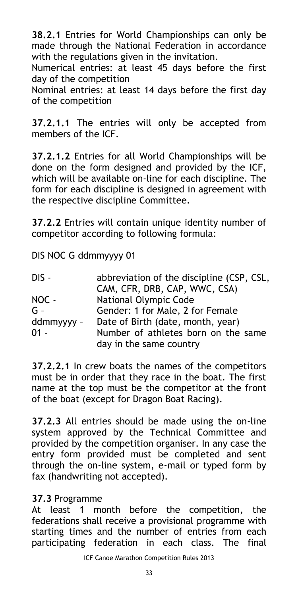**38.2.1** Entries for World Championships can only be made through the National Federation in accordance with the regulations given in the invitation.

Numerical entries: at least 45 days before the first day of the competition

Nominal entries: at least 14 days before the first day of the competition

**37.2.1.1** The entries will only be accepted from members of the ICF.

**37.2.1.2** Entries for all World Championships will be done on the form designed and provided by the ICF, which will be available on-line for each discipline. The form for each discipline is designed in agreement with the respective discipline Committee.

**37.2.2** Entries will contain unique identity number of competitor according to following formula:

DIS NOC G ddmmyyyy 01

| DIS -      | abbreviation of the discipline (CSP, CSL, |
|------------|-------------------------------------------|
|            | CAM, CFR, DRB, CAP, WWC, CSA)             |
| NOC -      | <b>National Olympic Code</b>              |
| $G -$      | Gender: 1 for Male, 2 for Female          |
| ddmmyyyy - | Date of Birth (date, month, year)         |
| $01 -$     | Number of athletes born on the same       |
|            | day in the same country                   |

**37.2.2.1** In crew boats the names of the competitors must be in order that they race in the boat. The first name at the top must be the competitor at the front of the boat (except for Dragon Boat Racing).

**37.2.3** All entries should be made using the on-line system approved by the Technical Committee and provided by the competition organiser. In any case the entry form provided must be completed and sent through the on-line system, e-mail or typed form by fax (handwriting not accepted).

### **37.3** Programme

At least 1 month before the competition, the federations shall receive a provisional programme with starting times and the number of entries from each participating federation in each class. The final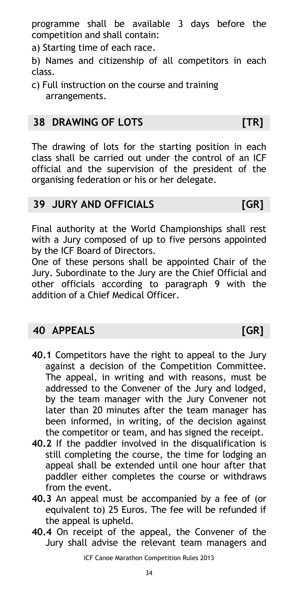programme shall be available 3 days before the competition and shall contain:

a) Starting time of each race.

b) Names and citizenship of all competitors in each class.

c) Full instruction on the course and training arrangements.

# <span id="page-33-0"></span>**38 DRAWING OF LOTS [TR]**

The drawing of lots for the starting position in each class shall be carried out under the control of an ICF official and the supervision of the president of the organising federation or his or her delegate.

# <span id="page-33-1"></span>**39 JURY AND OFFICIALS [GR]**

Final authority at the World Championships shall rest with a Jury composed of up to five persons appointed by the ICF Board of Directors.

One of these persons shall be appointed Chair of the Jury. Subordinate to the Jury are the Chief Official and other officials according to paragraph 9 with the addition of a Chief Medical Officer.

# <span id="page-33-2"></span>**40 APPEALS [GR]**

- **40.1** Competitors have the right to appeal to the Jury against a decision of the Competition Committee. The appeal, in writing and with reasons, must be addressed to the Convener of the Jury and lodged, by the team manager with the Jury Convener not later than 20 minutes after the team manager has been informed, in writing, of the decision against the competitor or team, and has signed the receipt.
- **40.2** If the paddler involved in the disqualification is still completing the course, the time for lodging an appeal shall be extended until one hour after that paddler either completes the course or withdraws from the event.
- **40.3** An appeal must be accompanied by a fee of (or equivalent to) 25 Euros. The fee will be refunded if the appeal is upheld.
- **40.4** On receipt of the appeal, the Convener of the Jury shall advise the relevant team managers and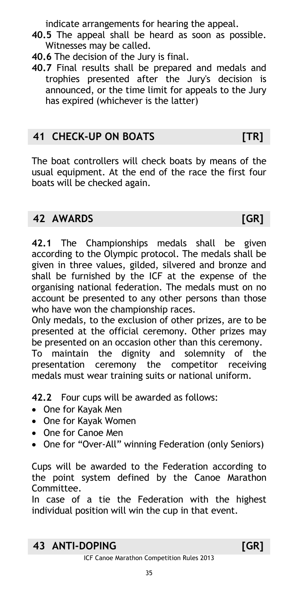indicate arrangements for hearing the appeal.

- **40.5** The appeal shall be heard as soon as possible. Witnesses may be called.
- **40.6** The decision of the Jury is final.
- **40.7** Final results shall be prepared and medals and trophies presented after the Jury's decision is announced, or the time limit for appeals to the Jury has expired (whichever is the latter)

# <span id="page-34-0"></span>**41 CHECK-UP ON BOATS [TR]**

The boat controllers will check boats by means of the usual equipment. At the end of the race the first four boats will be checked again.

# <span id="page-34-1"></span>**42 AWARDS [GR]**

**42.1** The Championships medals shall be given according to the Olympic protocol. The medals shall be given in three values, gilded, silvered and bronze and shall be furnished by the ICF at the expense of the organising national federation. The medals must on no account be presented to any other persons than those who have won the championship races.

Only medals, to the exclusion of other prizes, are to be presented at the official ceremony. Other prizes may be presented on an occasion other than this ceremony.

To maintain the dignity and solemnity of the presentation ceremony the competitor receiving medals must wear training suits or national uniform.

**42.2** Four cups will be awarded as follows:

- One for Kayak Men
- One for Kayak Women
- One for Canoe Men
- One for "Over-All" winning Federation (only Seniors)

Cups will be awarded to the Federation according to the point system defined by the Canoe Marathon Committee.

In case of a tie the Federation with the highest individual position will win the cup in that event.

# <span id="page-34-2"></span>**43 ANTI-DOPING [GR]**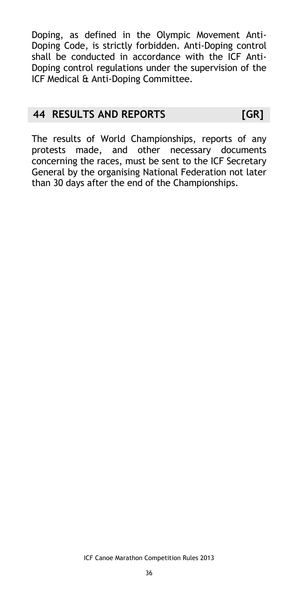Doping, as defined in the Olympic Movement Anti-Doping Code, is strictly forbidden. Anti-Doping control shall be conducted in accordance with the ICF Anti-Doping control regulations under the supervision of the ICF Medical & Anti-Doping Committee.

# <span id="page-35-0"></span>**44 RESULTS AND REPORTS [GR]**

The results of World Championships, reports of any protests made, and other necessary documents concerning the races, must be sent to the ICF Secretary General by the organising National Federation not later than 30 days after the end of the Championships.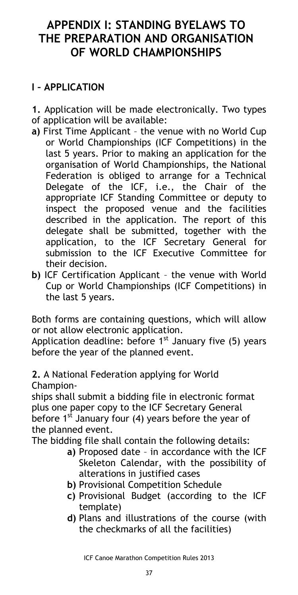# <span id="page-36-2"></span><span id="page-36-1"></span><span id="page-36-0"></span>**APPENDIX I: STANDING BYELAWS TO THE PREPARATION AND ORGANISATION OF WORLD CHAMPIONSHIPS**

# **I – APPLICATION**

- **1.** Application will be made electronically. Two types
- of application will be available:
- **a)** First Time Applicant the venue with no World Cup or World Championships (ICF Competitions) in the last 5 years. Prior to making an application for the organisation of World Championships, the National Federation is obliged to arrange for a Technical Delegate of the ICF, i.e., the Chair of the appropriate ICF Standing Committee or deputy to inspect the proposed venue and the facilities described in the application. The report of this delegate shall be submitted, together with the application, to the ICF Secretary General for submission to the ICF Executive Committee for their decision.
- **b)** ICF Certification Applicant the venue with World Cup or World Championships (ICF Competitions) in the last 5 years.

Both forms are containing questions, which will allow or not allow electronic application.

Application deadline: before  $1<sup>st</sup>$  January five (5) years before the year of the planned event.

**2.** A National Federation applying for World Champion-

ships shall submit a bidding file in electronic format plus one paper copy to the ICF Secretary General before 1<sup>st</sup> January four (4) years before the year of the planned event.

The bidding file shall contain the following details:

- **a)** Proposed date in accordance with the ICF Skeleton Calendar, with the possibility of alterations in justified cases
- **b)** Provisional Competition Schedule
- **c)** Provisional Budget (according to the ICF template)
- **d)** Plans and illustrations of the course (with the checkmarks of all the facilities)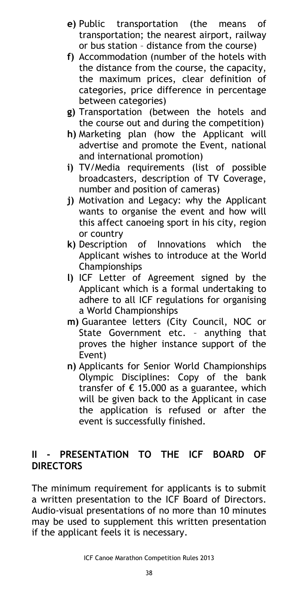- **e)** Public transportation (the means of transportation; the nearest airport, railway or bus station – distance from the course)
- **f)** Accommodation (number of the hotels with the distance from the course, the capacity, the maximum prices, clear definition of categories, price difference in percentage between categories)
- **g)** Transportation (between the hotels and the course out and during the competition)
- **h)** Marketing plan (how the Applicant will advertise and promote the Event, national and international promotion)
- **i)** TV/Media requirements (list of possible broadcasters, description of TV Coverage, number and position of cameras)
- **j)** Motivation and Legacy: why the Applicant wants to organise the event and how will this affect canoeing sport in his city, region or country
- **k)** Description of Innovations which the Applicant wishes to introduce at the World Championships
- **l)** ICF Letter of Agreement signed by the Applicant which is a formal undertaking to adhere to all ICF regulations for organising a World Championships
- **m)** Guarantee letters (City Council, NOC or State Government etc. – anything that proves the higher instance support of the Event)
- **n)** Applicants for Senior World Championships Olympic Disciplines: Copy of the bank transfer of  $\epsilon$  15.000 as a guarantee, which will be given back to the Applicant in case the application is refused or after the event is successfully finished.

# **II - PRESENTATION TO THE ICF BOARD OF DIRECTORS**

The minimum requirement for applicants is to submit a written presentation to the ICF Board of Directors. Audio-visual presentations of no more than 10 minutes may be used to supplement this written presentation if the applicant feels it is necessary.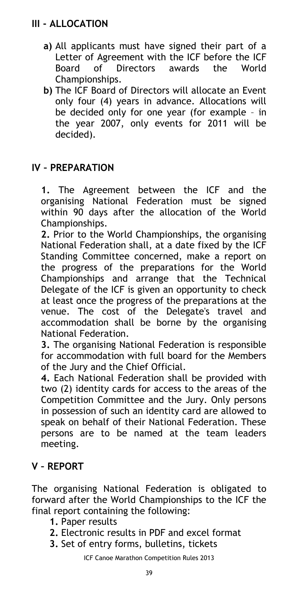- **a)** All applicants must have signed their part of a Letter of Agreement with the ICF before the ICF Board of Directors awards the World Championships.
- **b)** The ICF Board of Directors will allocate an Event only four (4) years in advance. Allocations will be decided only for one year (for example – in the year 2007, only events for 2011 will be decided).

# **IV – PREPARATION**

**1.** The Agreement between the ICF and the organising National Federation must be signed within 90 days after the allocation of the World Championships.

**2.** Prior to the World Championships, the organising National Federation shall, at a date fixed by the ICF Standing Committee concerned, make a report on the progress of the preparations for the World Championships and arrange that the Technical Delegate of the ICF is given an opportunity to check at least once the progress of the preparations at the venue. The cost of the Delegate's travel and accommodation shall be borne by the organising National Federation.

**3.** The organising National Federation is responsible for accommodation with full board for the Members of the Jury and the Chief Official.

**4.** Each National Federation shall be provided with two (2) identity cards for access to the areas of the Competition Committee and the Jury. Only persons in possession of such an identity card are allowed to speak on behalf of their National Federation. These persons are to be named at the team leaders meeting.

# **V – REPORT**

The organising National Federation is obligated to forward after the World Championships to the ICF the final report containing the following:

- **1.** Paper results
- **2.** Electronic results in PDF and excel format
- **3.** Set of entry forms, bulletins, tickets